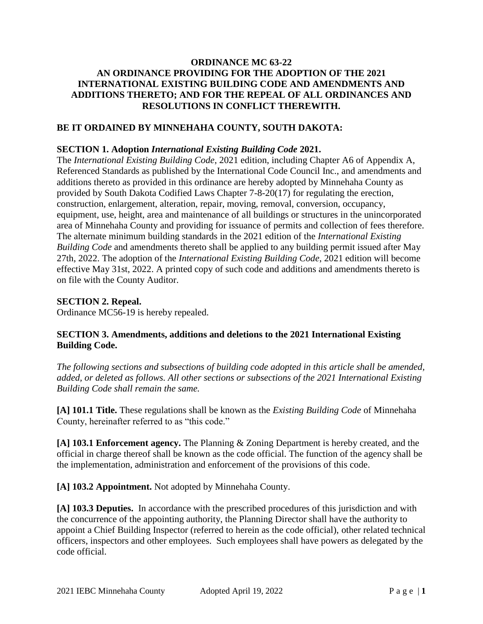## **ORDINANCE MC 63-22 AN ORDINANCE PROVIDING FOR THE ADOPTION OF THE 2021 INTERNATIONAL EXISTING BUILDING CODE AND AMENDMENTS AND ADDITIONS THERETO; AND FOR THE REPEAL OF ALL ORDINANCES AND RESOLUTIONS IN CONFLICT THEREWITH.**

## **BE IT ORDAINED BY MINNEHAHA COUNTY, SOUTH DAKOTA:**

#### **SECTION 1. Adoption** *International Existing Building Code* **2021.**

The *International Existing Building Code*, 2021 edition, including Chapter A6 of Appendix A, Referenced Standards as published by the International Code Council Inc., and amendments and additions thereto as provided in this ordinance are hereby adopted by Minnehaha County as provided by South Dakota Codified Laws Chapter 7-8-20(17) for regulating the erection, construction, enlargement, alteration, repair, moving, removal, conversion, occupancy, equipment, use, height, area and maintenance of all buildings or structures in the unincorporated area of Minnehaha County and providing for issuance of permits and collection of fees therefore. The alternate minimum building standards in the 2021 edition of the *International Existing Building Code* and amendments thereto shall be applied to any building permit issued after May 27th, 2022. The adoption of the *International Existing Building Code*, 2021 edition will become effective May 31st, 2022. A printed copy of such code and additions and amendments thereto is on file with the County Auditor.

### **SECTION 2. Repeal.**

Ordinance MC56-19 is hereby repealed.

# **SECTION 3. Amendments, additions and deletions to the 2021 International Existing Building Code.**

*The following sections and subsections of building code adopted in this article shall be amended, added, or deleted as follows. All other sections or subsections of the 2021 International Existing Building Code shall remain the same.* 

**[A] 101.1 Title.** These regulations shall be known as the *Existing Building Code* of Minnehaha County, hereinafter referred to as "this code."

**[A] 103.1 Enforcement agency.** The Planning & Zoning Department is hereby created, and the official in charge thereof shall be known as the code official. The function of the agency shall be the implementation, administration and enforcement of the provisions of this code.

**[A] 103.2 Appointment.** Not adopted by Minnehaha County.

**[A] 103.3 Deputies.** In accordance with the prescribed procedures of this jurisdiction and with the concurrence of the appointing authority, the Planning Director shall have the authority to appoint a Chief Building Inspector (referred to herein as the code official), other related technical officers, inspectors and other employees. Such employees shall have powers as delegated by the code official.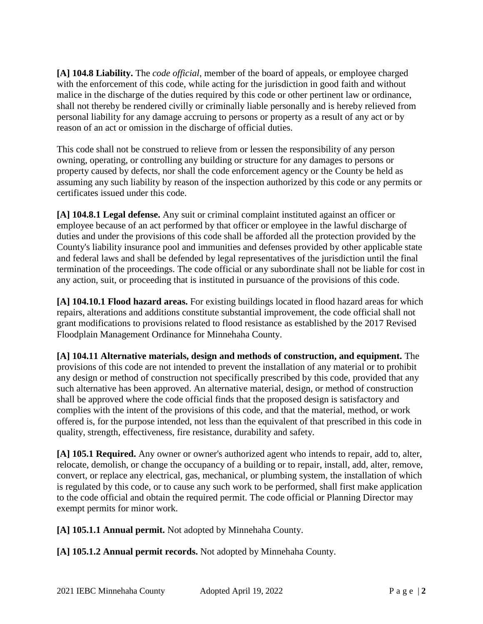**[A] 104.8 Liability.** The *code official*, member of the board of appeals, or employee charged with the enforcement of this code, while acting for the jurisdiction in good faith and without malice in the discharge of the duties required by this code or other pertinent law or ordinance, shall not thereby be rendered civilly or criminally liable personally and is hereby relieved from personal liability for any damage accruing to persons or property as a result of any act or by reason of an act or omission in the discharge of official duties.

This code shall not be construed to relieve from or lessen the responsibility of any person owning, operating, or controlling any building or structure for any damages to persons or property caused by defects, nor shall the code enforcement agency or the County be held as assuming any such liability by reason of the inspection authorized by this code or any permits or certificates issued under this code.

**[A] 104.8.1 Legal defense.** Any suit or criminal complaint instituted against an officer or employee because of an act performed by that officer or employee in the lawful discharge of duties and under the provisions of this code shall be afforded all the protection provided by the County's liability insurance pool and immunities and defenses provided by other applicable state and federal laws and shall be defended by legal representatives of the jurisdiction until the final termination of the proceedings. The code official or any subordinate shall not be liable for cost in any action, suit, or proceeding that is instituted in pursuance of the provisions of this code.

**[A] 104.10.1 Flood hazard areas.** For existing buildings located in flood hazard areas for which repairs, alterations and additions constitute substantial improvement, the code official shall not grant modifications to provisions related to flood resistance as established by the 2017 Revised Floodplain Management Ordinance for Minnehaha County.

**[A] 104.11 Alternative materials, design and methods of construction, and equipment.** The provisions of this code are not intended to prevent the installation of any material or to prohibit any design or method of construction not specifically prescribed by this code, provided that any such alternative has been approved. An alternative material, design, or method of construction shall be approved where the code official finds that the proposed design is satisfactory and complies with the intent of the provisions of this code, and that the material, method, or work offered is, for the purpose intended, not less than the equivalent of that prescribed in this code in quality, strength, effectiveness, fire resistance, durability and safety.

**[A] 105.1 Required.** Any owner or owner's authorized agent who intends to repair, add to, alter, relocate, demolish, or change the occupancy of a building or to repair, install, add, alter, remove, convert, or replace any electrical, gas, mechanical, or plumbing system, the installation of which is regulated by this code, or to cause any such work to be performed, shall first make application to the code official and obtain the required permit. The code official or Planning Director may exempt permits for minor work.

**[A] 105.1.1 Annual permit.** Not adopted by Minnehaha County.

**[A] 105.1.2 Annual permit records.** Not adopted by Minnehaha County.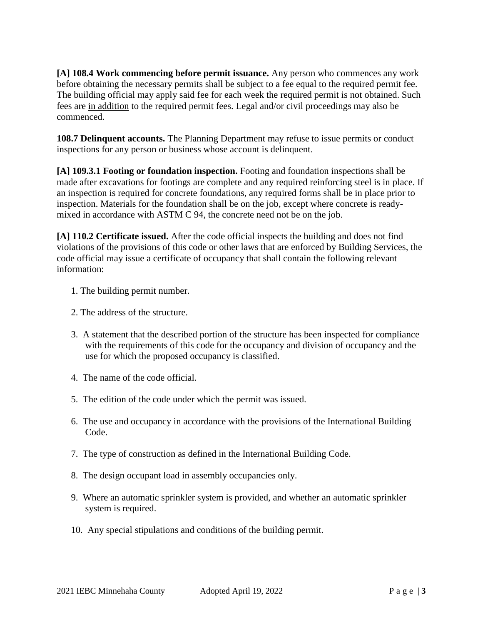**[A] 108.4 Work commencing before permit issuance.** Any person who commences any work before obtaining the necessary permits shall be subject to a fee equal to the required permit fee. The building official may apply said fee for each week the required permit is not obtained. Such fees are in addition to the required permit fees. Legal and/or civil proceedings may also be commenced.

**108.7 Delinquent accounts.** The Planning Department may refuse to issue permits or conduct inspections for any person or business whose account is delinquent.

**[A] 109.3.1 Footing or foundation inspection.** Footing and foundation inspections shall be made after excavations for footings are complete and any required reinforcing steel is in place. If an inspection is required for concrete foundations, any required forms shall be in place prior to inspection. Materials for the foundation shall be on the job, except where concrete is readymixed in accordance with ASTM C 94, the concrete need not be on the job.

**[A] 110.2 Certificate issued.** After the code official inspects the building and does not find violations of the provisions of this code or other laws that are enforced by Building Services, the code official may issue a certificate of occupancy that shall contain the following relevant information:

- 1. The building permit number.
- 2. The address of the structure.
- 3. A statement that the described portion of the structure has been inspected for compliance with the requirements of this code for the occupancy and division of occupancy and the use for which the proposed occupancy is classified.
- 4. The name of the code official.
- 5. The edition of the code under which the permit was issued.
- 6. The use and occupancy in accordance with the provisions of the International Building Code.
- 7. The type of construction as defined in the International Building Code.
- 8. The design occupant load in assembly occupancies only.
- 9. Where an automatic sprinkler system is provided, and whether an automatic sprinkler system is required.
- 10. Any special stipulations and conditions of the building permit.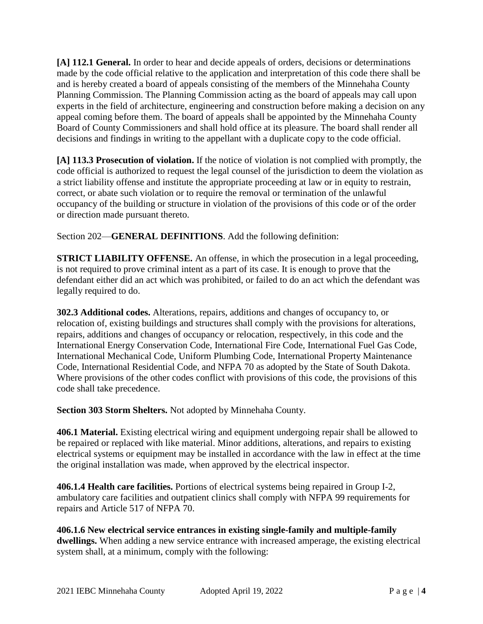**[A] 112.1 General.** In order to hear and decide appeals of orders, decisions or determinations made by the code official relative to the application and interpretation of this code there shall be and is hereby created a board of appeals consisting of the members of the Minnehaha County Planning Commission. The Planning Commission acting as the board of appeals may call upon experts in the field of architecture, engineering and construction before making a decision on any appeal coming before them. The board of appeals shall be appointed by the Minnehaha County Board of County Commissioners and shall hold office at its pleasure. The board shall render all decisions and findings in writing to the appellant with a duplicate copy to the code official.

**[A] 113.3 Prosecution of violation.** If the notice of violation is not complied with promptly, the code official is authorized to request the legal counsel of the jurisdiction to deem the violation as a strict liability offense and institute the appropriate proceeding at law or in equity to restrain, correct, or abate such violation or to require the removal or termination of the unlawful occupancy of the building or structure in violation of the provisions of this code or of the order or direction made pursuant thereto.

Section 202—**GENERAL DEFINITIONS**. Add the following definition:

**STRICT LIABILITY OFFENSE.** An offense, in which the prosecution in a legal proceeding, is not required to prove criminal intent as a part of its case. It is enough to prove that the defendant either did an act which was prohibited, or failed to do an act which the defendant was legally required to do.

**302.3 Additional codes.** Alterations, repairs, additions and changes of occupancy to, or relocation of, existing buildings and structures shall comply with the provisions for alterations, repairs, additions and changes of occupancy or relocation, respectively, in this code and the International Energy Conservation Code, International Fire Code, International Fuel Gas Code, International Mechanical Code, Uniform Plumbing Code, International Property Maintenance Code, International Residential Code, and NFPA 70 as adopted by the State of South Dakota. Where provisions of the other codes conflict with provisions of this code, the provisions of this code shall take precedence.

**Section 303 Storm Shelters.** Not adopted by Minnehaha County.

**406.1 Material.** Existing electrical wiring and equipment undergoing repair shall be allowed to be repaired or replaced with like material. Minor additions, alterations, and repairs to existing electrical systems or equipment may be installed in accordance with the law in effect at the time the original installation was made, when approved by the electrical inspector.

**406.1.4 Health care facilities.** Portions of electrical systems being repaired in Group I-2, ambulatory care facilities and outpatient clinics shall comply with NFPA 99 requirements for repairs and Article 517 of NFPA 70.

**406.1.6 New electrical service entrances in existing single-family and multiple-family dwellings.** When adding a new service entrance with increased amperage, the existing electrical system shall, at a minimum, comply with the following: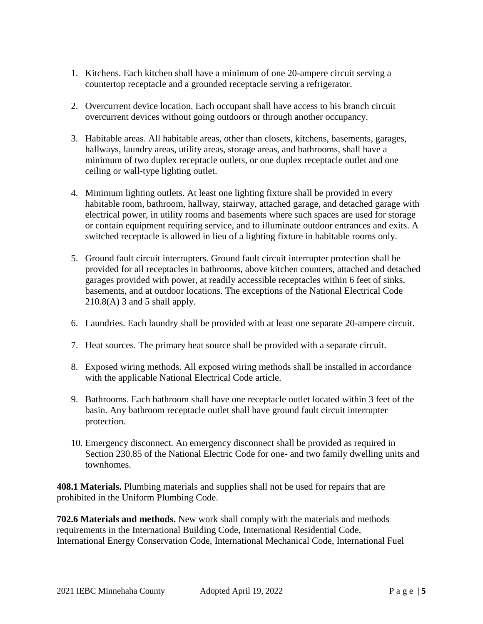- 1. Kitchens. Each kitchen shall have a minimum of one 20-ampere circuit serving a countertop receptacle and a grounded receptacle serving a refrigerator.
- 2. Overcurrent device location. Each occupant shall have access to his branch circuit overcurrent devices without going outdoors or through another occupancy.
- 3. Habitable areas. All habitable areas, other than closets, kitchens, basements, garages, hallways, laundry areas, utility areas, storage areas, and bathrooms, shall have a minimum of two duplex receptacle outlets, or one duplex receptacle outlet and one ceiling or wall-type lighting outlet.
- 4. Minimum lighting outlets. At least one lighting fixture shall be provided in every habitable room, bathroom, hallway, stairway, attached garage, and detached garage with electrical power, in utility rooms and basements where such spaces are used for storage or contain equipment requiring service, and to illuminate outdoor entrances and exits. A switched receptacle is allowed in lieu of a lighting fixture in habitable rooms only.
- 5. Ground fault circuit interrupters. Ground fault circuit interrupter protection shall be provided for all receptacles in bathrooms, above kitchen counters, attached and detached garages provided with power, at readily accessible receptacles within 6 feet of sinks, basements, and at outdoor locations. The exceptions of the National Electrical Code 210.8(A) 3 and 5 shall apply.
- 6. Laundries. Each laundry shall be provided with at least one separate 20-ampere circuit.
- 7. Heat sources. The primary heat source shall be provided with a separate circuit.
- 8. Exposed wiring methods. All exposed wiring methods shall be installed in accordance with the applicable National Electrical Code article.
- 9. Bathrooms. Each bathroom shall have one receptacle outlet located within 3 feet of the basin. Any bathroom receptacle outlet shall have ground fault circuit interrupter protection.
- 10. Emergency disconnect. An emergency disconnect shall be provided as required in Section 230.85 of the National Electric Code for one- and two family dwelling units and townhomes.

**408.1 Materials.** Plumbing materials and supplies shall not be used for repairs that are prohibited in the Uniform Plumbing Code.

**702.6 Materials and methods.** New work shall comply with the materials and methods requirements in the International Building Code, International Residential Code, International Energy Conservation Code, International Mechanical Code, International Fuel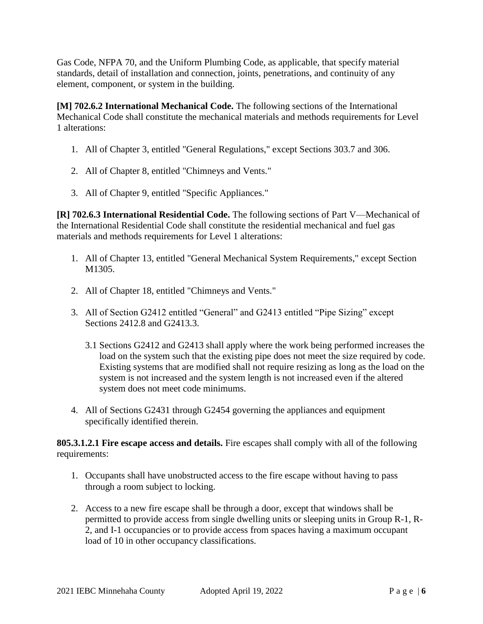Gas Code, NFPA 70, and the Uniform Plumbing Code, as applicable, that specify material standards, detail of installation and connection, joints, penetrations, and continuity of any element, component, or system in the building.

**[M] 702.6.2 International Mechanical Code.** The following sections of the International Mechanical Code shall constitute the mechanical materials and methods requirements for Level 1 alterations:

- 1. All of Chapter 3, entitled "General Regulations," except Sections 303.7 and 306.
- 2. All of Chapter 8, entitled "Chimneys and Vents."
- 3. All of Chapter 9, entitled "Specific Appliances."

**[R] 702.6.3 International Residential Code.** The following sections of Part V—Mechanical of the International Residential Code shall constitute the residential mechanical and fuel gas materials and methods requirements for Level 1 alterations:

- 1. All of Chapter 13, entitled "General Mechanical System Requirements," except Section M<sub>1305</sub>.
- 2. All of Chapter 18, entitled "Chimneys and Vents."
- 3. All of Section G2412 entitled "General" and G2413 entitled "Pipe Sizing" except Sections 2412.8 and G2413.3.
	- 3.1 Sections G2412 and G2413 shall apply where the work being performed increases the load on the system such that the existing pipe does not meet the size required by code. Existing systems that are modified shall not require resizing as long as the load on the system is not increased and the system length is not increased even if the altered system does not meet code minimums.
- 4. All of Sections G2431 through G2454 governing the appliances and equipment specifically identified therein.

**805.3.1.2.1 Fire escape access and details.** Fire escapes shall comply with all of the following requirements:

- 1. Occupants shall have unobstructed access to the fire escape without having to pass through a room subject to locking.
- 2. Access to a new fire escape shall be through a door, except that windows shall be permitted to provide access from single dwelling units or sleeping units in Group R-1, R-2, and I-1 occupancies or to provide access from spaces having a maximum occupant load of 10 in other occupancy classifications.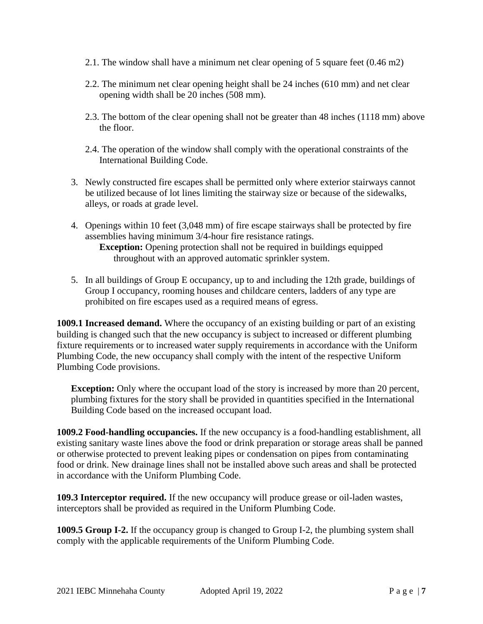- 2.1. The window shall have a minimum net clear opening of 5 square feet (0.46 m2)
- 2.2. The minimum net clear opening height shall be 24 inches (610 mm) and net clear opening width shall be 20 inches (508 mm).
- 2.3. The bottom of the clear opening shall not be greater than 48 inches (1118 mm) above the floor.
- 2.4. The operation of the window shall comply with the operational constraints of the International Building Code.
- 3. Newly constructed fire escapes shall be permitted only where exterior stairways cannot be utilized because of lot lines limiting the stairway size or because of the sidewalks, alleys, or roads at grade level.
- 4. Openings within 10 feet (3,048 mm) of fire escape stairways shall be protected by fire assemblies having minimum 3/4-hour fire resistance ratings. **Exception:** Opening protection shall not be required in buildings equipped throughout with an approved automatic sprinkler system.
- 5. In all buildings of Group E occupancy, up to and including the 12th grade, buildings of Group I occupancy, rooming houses and childcare centers, ladders of any type are prohibited on fire escapes used as a required means of egress.

**1009.1 Increased demand.** Where the occupancy of an existing building or part of an existing building is changed such that the new occupancy is subject to increased or different plumbing fixture requirements or to increased water supply requirements in accordance with the Uniform Plumbing Code, the new occupancy shall comply with the intent of the respective Uniform Plumbing Code provisions.

**Exception:** Only where the occupant load of the story is increased by more than 20 percent, plumbing fixtures for the story shall be provided in quantities specified in the International Building Code based on the increased occupant load.

**1009.2 Food-handling occupancies.** If the new occupancy is a food-handling establishment, all existing sanitary waste lines above the food or drink preparation or storage areas shall be panned or otherwise protected to prevent leaking pipes or condensation on pipes from contaminating food or drink. New drainage lines shall not be installed above such areas and shall be protected in accordance with the Uniform Plumbing Code.

**109.3 Interceptor required.** If the new occupancy will produce grease or oil-laden wastes, interceptors shall be provided as required in the Uniform Plumbing Code.

**1009.5 Group I-2.** If the occupancy group is changed to Group I-2, the plumbing system shall comply with the applicable requirements of the Uniform Plumbing Code.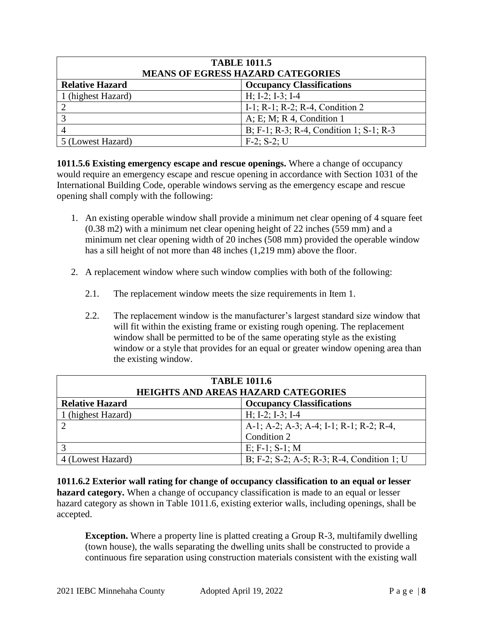| <b>TABLE 1011.5</b><br><b>MEANS OF EGRESS HAZARD CATEGORIES</b> |                                         |  |
|-----------------------------------------------------------------|-----------------------------------------|--|
| <b>Relative Hazard</b>                                          | <b>Occupancy Classifications</b>        |  |
| 1 (highest Hazard)                                              | $H; I-2; I-3; I-4$                      |  |
|                                                                 | I-1; R-1; R-2; R-4, Condition 2         |  |
|                                                                 | A; E; M; R 4, Condition 1               |  |
|                                                                 | B; F-1; R-3; R-4, Condition 1; S-1; R-3 |  |
| 5 (Lowest Hazard)                                               | $F-2$ ; S-2; U                          |  |

**1011.5.6 Existing emergency escape and rescue openings.** Where a change of occupancy would require an emergency escape and rescue opening in accordance with Section 1031 of the International Building Code, operable windows serving as the emergency escape and rescue opening shall comply with the following:

- 1. An existing operable window shall provide a minimum net clear opening of 4 square feet (0.38 m2) with a minimum net clear opening height of 22 inches (559 mm) and a minimum net clear opening width of 20 inches (508 mm) provided the operable window has a sill height of not more than 48 inches (1,219 mm) above the floor.
- 2. A replacement window where such window complies with both of the following:
	- 2.1. The replacement window meets the size requirements in Item 1.
	- 2.2. The replacement window is the manufacturer's largest standard size window that will fit within the existing frame or existing rough opening. The replacement window shall be permitted to be of the same operating style as the existing window or a style that provides for an equal or greater window opening area than the existing window.

| <b>TABLE 1011.6</b><br><b>HEIGHTS AND AREAS HAZARD CATEGORIES</b> |                                            |  |
|-------------------------------------------------------------------|--------------------------------------------|--|
| <b>Relative Hazard</b>                                            | <b>Occupancy Classifications</b>           |  |
| 1 (highest Hazard)                                                | $H; I-2; I-3; I-4$                         |  |
|                                                                   | A-1; A-2; A-3; A-4; I-1; R-1; R-2; R-4,    |  |
|                                                                   | Condition 2                                |  |
|                                                                   | $E; F-1; S-1; M$                           |  |
| 4 (Lowest Hazard)                                                 | B; F-2; S-2; A-5; R-3; R-4, Condition 1; U |  |

**1011.6.2 Exterior wall rating for change of occupancy classification to an equal or lesser hazard category.** When a change of occupancy classification is made to an equal or lesser hazard category as shown in Table 1011.6, existing exterior walls, including openings, shall be accepted.

**Exception.** Where a property line is platted creating a Group R-3, multifamily dwelling (town house), the walls separating the dwelling units shall be constructed to provide a continuous fire separation using construction materials consistent with the existing wall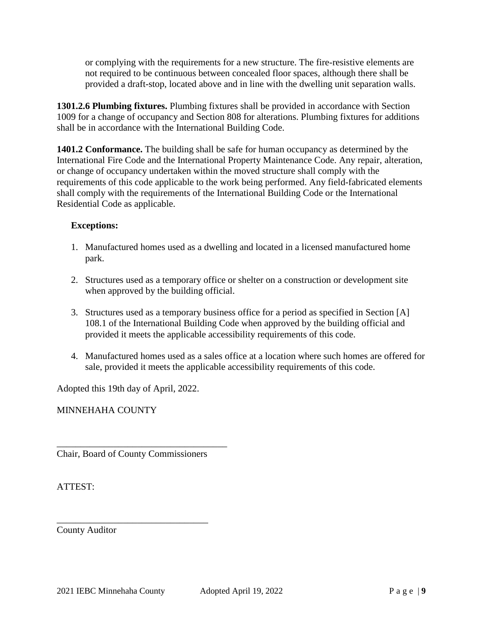or complying with the requirements for a new structure. The fire-resistive elements are not required to be continuous between concealed floor spaces, although there shall be provided a draft-stop, located above and in line with the dwelling unit separation walls.

**1301.2.6 Plumbing fixtures.** Plumbing fixtures shall be provided in accordance with Section 1009 for a change of occupancy and Section 808 for alterations. Plumbing fixtures for additions shall be in accordance with the International Building Code.

**1401.2 Conformance.** The building shall be safe for human occupancy as determined by the International Fire Code and the International Property Maintenance Code. Any repair, alteration, or change of occupancy undertaken within the moved structure shall comply with the requirements of this code applicable to the work being performed. Any field-fabricated elements shall comply with the requirements of the International Building Code or the International Residential Code as applicable.

# **Exceptions:**

- 1. Manufactured homes used as a dwelling and located in a licensed manufactured home park.
- 2. Structures used as a temporary office or shelter on a construction or development site when approved by the building official.
- 3. Structures used as a temporary business office for a period as specified in Section [A] 108.1 of the International Building Code when approved by the building official and provided it meets the applicable accessibility requirements of this code.
- 4. Manufactured homes used as a sales office at a location where such homes are offered for sale, provided it meets the applicable accessibility requirements of this code.

Adopted this 19th day of April, 2022.

MINNEHAHA COUNTY

Chair, Board of County Commissioners

\_\_\_\_\_\_\_\_\_\_\_\_\_\_\_\_\_\_\_\_\_\_\_\_\_\_\_\_\_\_\_\_

\_\_\_\_\_\_\_\_\_\_\_\_\_\_\_\_\_\_\_\_\_\_\_\_\_\_\_\_\_\_\_\_\_\_\_\_

ATTEST:

County Auditor